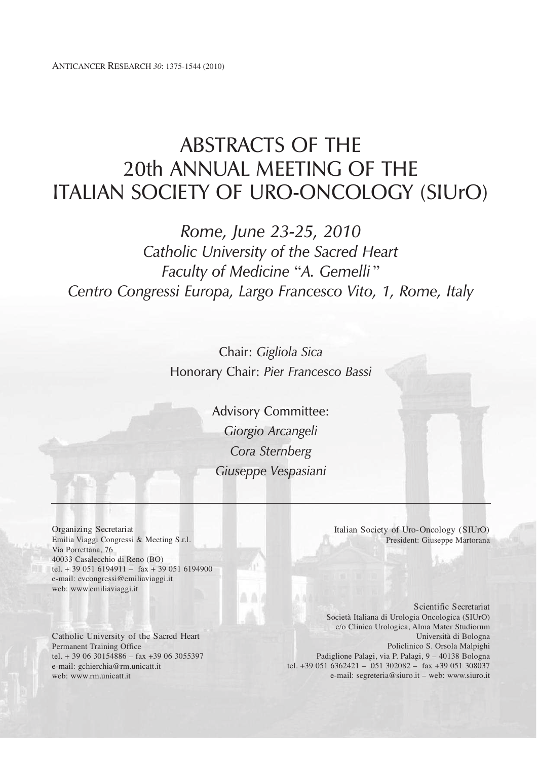# ABSTRACTS OF THE 20th ANNUAL MEETING OF THE ITALIAN SOCIETY OF URO-ONCOLOGY (SIUrO)

*Rome, June 23-25, 2010 Catholic University of the Sacred Heart Faculty of Medicine* "*A. Gemelli* " *Centro Congressi Europa, Largo Francesco Vito, 1, Rome, Italy*

> Chair: *Gigliola Sica* Honorary Chair: *Pier Francesco Bassi*

> > Advisory Committee: *Giorgio Arcangeli Cora Sternberg Giuseppe Vespasiani*

Organizing Secretariat Emilia Viaggi Congressi & Meeting S.r.l. Via Porrettana, 76 40033 Casalecchio di Reno (BO) tel. + 39 051 6194911 – fax + 39 051 6194900 e-mail: evcongressi@emiliaviaggi.it web: www.emiliaviaggi.it

Catholic University of the Sacred Heart Permanent Training Office tel. + 39 06 30154886 – fax +39 06 3055397 e-mail: gchierchia@rm.unicatt.it web: www.rm.unicatt.it

Italian Society of Uro-Oncology (SIUrO) President: Giuseppe Martorana

Scientific Secretariat Società Italiana di Urologia Oncologica (SIUrO) c/o Clinica Urologica, Alma Mater Studiorum Università di Bologna Policlinico S. Orsola Malpighi Padiglione Palagi, via P. Palagi, 9 – 40138 Bologna tel. +39 051 6362421 – 051 302082 – fax +39 051 308037 e-mail: segreteria@siuro.it – web: www.siuro.it